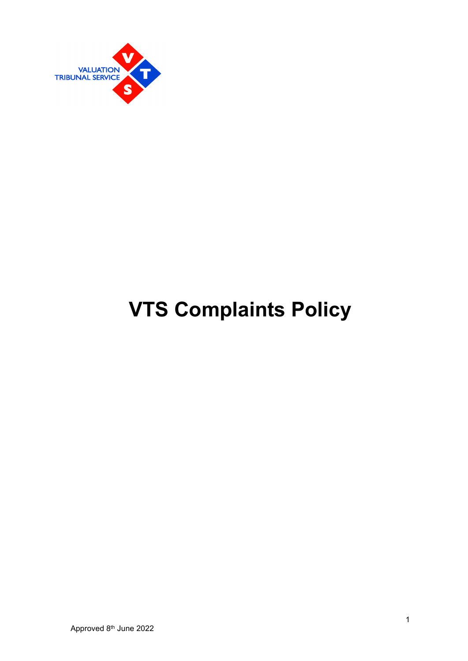

# **VTS Complaints Policy**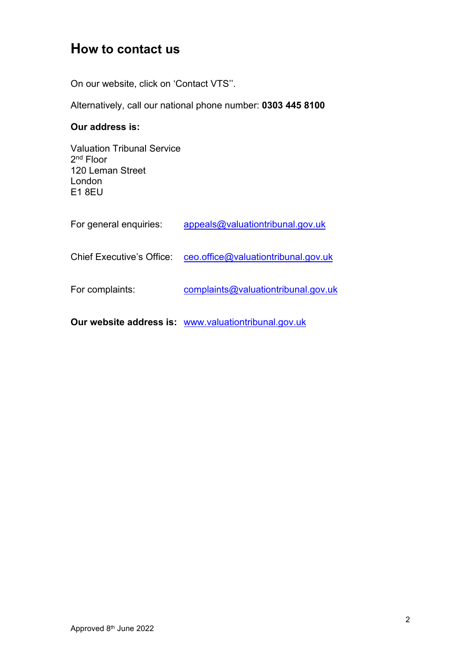# **How to contact us**

On our website, click on 'Contact VTS''.

Alternatively, call our national phone number: **0303 445 8100**

#### **Our address is:**

Valuation Tribunal Service 2nd Floor 120 Leman Street London E1 8EU

|                           | Our website address is: www.valuationtribunal.gov.uk |
|---------------------------|------------------------------------------------------|
| For complaints:           | complaints@valuationtribunal.gov.uk                  |
| Chief Executive's Office: | ceo.office@valuationtribunal.gov.uk                  |
| For general enquiries:    | appeals@valuationtribunal.gov.uk                     |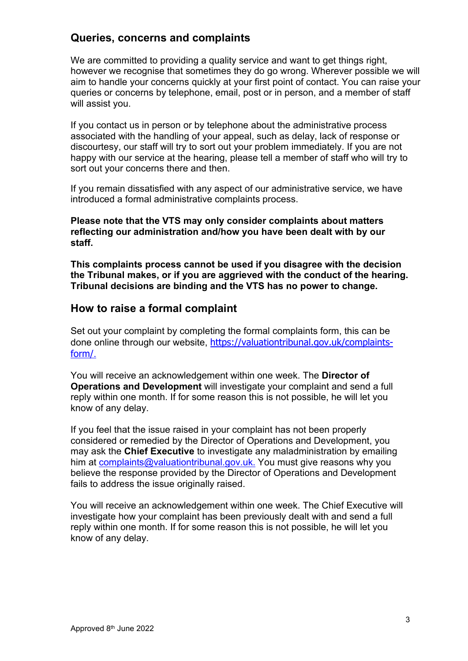#### **Queries, concerns and complaints**

We are committed to providing a quality service and want to get things right, however we recognise that sometimes they do go wrong. Wherever possible we will aim to handle your concerns quickly at your first point of contact. You can raise your queries or concerns by telephone, email, post or in person, and a member of staff will assist you.

If you contact us in person or by telephone about the administrative process associated with the handling of your appeal, such as delay, lack of response or discourtesy, our staff will try to sort out your problem immediately. If you are not happy with our service at the hearing, please tell a member of staff who will try to sort out your concerns there and then.

If you remain dissatisfied with any aspect of our administrative service, we have introduced a formal administrative complaints process.

**Please note that the VTS may only consider complaints about matters reflecting our administration and/how you have been dealt with by our staff.**

**This complaints process cannot be used if you disagree with the decision the Tribunal makes, or if you are aggrieved with the conduct of the hearing. Tribunal decisions are binding and the VTS has no power to change.** 

#### **How to raise a formal complaint**

Set out your complaint by completing the formal complaints form, this can be done online through our website, [https://valuationtribunal.gov.uk/complaints](https://valuationtribunal.gov.uk/complaints-form/)[form/](https://valuationtribunal.gov.uk/complaints-form/).

You will receive an acknowledgement within one week. The **Director of Operations and Development** will investigate your complaint and send a full reply within one month. If for some reason this is not possible, he will let you know of any delay.

If you feel that the issue raised in your complaint has not been properly considered or remedied by the Director of Operations and Development, you may ask the **Chief Executive** to investigate any maladministration by emailing him at [complaints@valuationtribunal.gov.uk.](mailto:complaints@valuationtribunal.gov.uk) You must give reasons why you believe the response provided by the Director of Operations and Development fails to address the issue originally raised.

You will receive an acknowledgement within one week. The Chief Executive will investigate how your complaint has been previously dealt with and send a full reply within one month. If for some reason this is not possible, he will let you know of any delay.